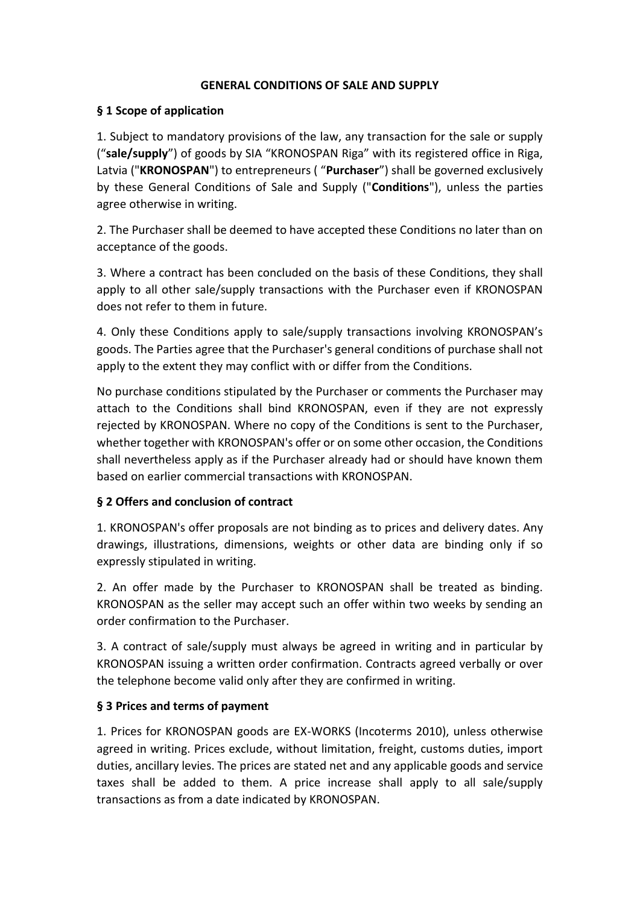#### **GENERAL CONDITIONS OF SALE AND SUPPLY**

#### **§ 1 Scope of application**

1. Subject to mandatory provisions of the law, any transaction for the sale or supply ("**sale/supply**") of goods by SIA "KRONOSPAN Riga" with its registered office in Riga, Latvia ("**KRONOSPAN**") to entrepreneurs ( "**Purchaser**") shall be governed exclusively by these General Conditions of Sale and Supply ("**Conditions**"), unless the parties agree otherwise in writing.

2. The Purchaser shall be deemed to have accepted these Conditions no later than on acceptance of the goods.

3. Where a contract has been concluded on the basis of these Conditions, they shall apply to all other sale/supply transactions with the Purchaser even if KRONOSPAN does not refer to them in future.

4. Only these Conditions apply to sale/supply transactions involving KRONOSPAN's goods. The Parties agree that the Purchaser's general conditions of purchase shall not apply to the extent they may conflict with or differ from the Conditions.

No purchase conditions stipulated by the Purchaser or comments the Purchaser may attach to the Conditions shall bind KRONOSPAN, even if they are not expressly rejected by KRONOSPAN. Where no copy of the Conditions is sent to the Purchaser, whether together with KRONOSPAN's offer or on some other occasion, the Conditions shall nevertheless apply as if the Purchaser already had or should have known them based on earlier commercial transactions with KRONOSPAN.

### **§ 2 Offers and conclusion of contract**

1. KRONOSPAN's offer proposals are not binding as to prices and delivery dates. Any drawings, illustrations, dimensions, weights or other data are binding only if so expressly stipulated in writing.

2. An offer made by the Purchaser to KRONOSPAN shall be treated as binding. KRONOSPAN as the seller may accept such an offer within two weeks by sending an order confirmation to the Purchaser.

3. A contract of sale/supply must always be agreed in writing and in particular by KRONOSPAN issuing a written order confirmation. Contracts agreed verbally or over the telephone become valid only after they are confirmed in writing.

### **§ 3 Prices and terms of payment**

1. Prices for KRONOSPAN goods are EX-WORKS (Incoterms 2010), unless otherwise agreed in writing. Prices exclude, without limitation, freight, customs duties, import duties, ancillary levies. The prices are stated net and any applicable goods and service taxes shall be added to them. A price increase shall apply to all sale/supply transactions as from a date indicated by KRONOSPAN.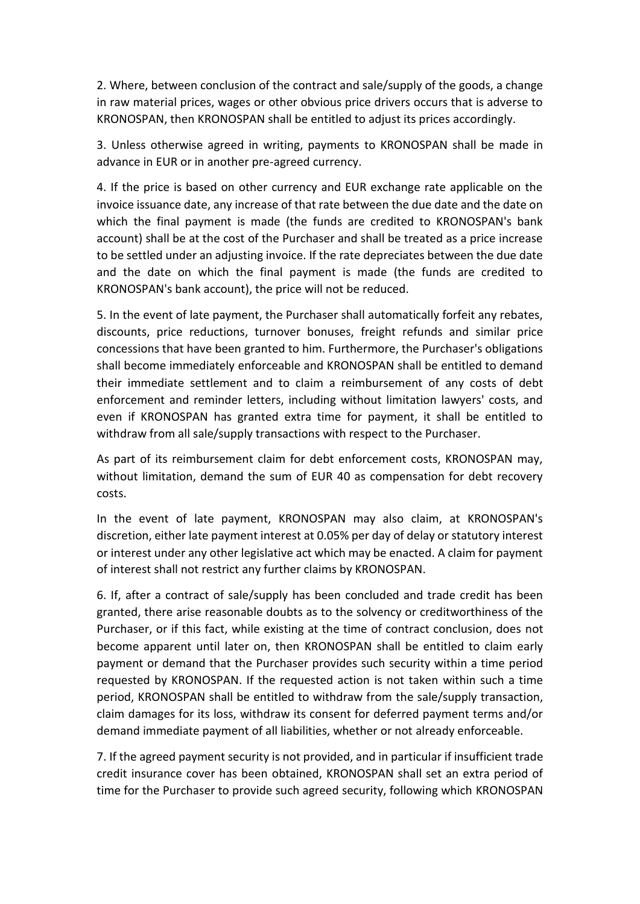2. Where, between conclusion of the contract and sale/supply of the goods, a change in raw material prices, wages or other obvious price drivers occurs that is adverse to KRONOSPAN, then KRONOSPAN shall be entitled to adjust its prices accordingly.

3. Unless otherwise agreed in writing, payments to KRONOSPAN shall be made in advance in EUR or in another pre-agreed currency.

4. If the price is based on other currency and EUR exchange rate applicable on the invoice issuance date, any increase of that rate between the due date and the date on which the final payment is made (the funds are credited to KRONOSPAN's bank account) shall be at the cost of the Purchaser and shall be treated as a price increase to be settled under an adjusting invoice. If the rate depreciates between the due date and the date on which the final payment is made (the funds are credited to KRONOSPAN's bank account), the price will not be reduced.

5. In the event of late payment, the Purchaser shall automatically forfeit any rebates, discounts, price reductions, turnover bonuses, freight refunds and similar price concessions that have been granted to him. Furthermore, the Purchaser's obligations shall become immediately enforceable and KRONOSPAN shall be entitled to demand their immediate settlement and to claim a reimbursement of any costs of debt enforcement and reminder letters, including without limitation lawyers' costs, and even if KRONOSPAN has granted extra time for payment, it shall be entitled to withdraw from all sale/supply transactions with respect to the Purchaser.

As part of its reimbursement claim for debt enforcement costs, KRONOSPAN may, without limitation, demand the sum of EUR 40 as compensation for debt recovery costs.

In the event of late payment, KRONOSPAN may also claim, at KRONOSPAN's discretion, either late payment interest at 0.05% per day of delay or statutory interest or interest under any other legislative act which may be enacted. A claim for payment of interest shall not restrict any further claims by KRONOSPAN.

6. If, after a contract of sale/supply has been concluded and trade credit has been granted, there arise reasonable doubts as to the solvency or creditworthiness of the Purchaser, or if this fact, while existing at the time of contract conclusion, does not become apparent until later on, then KRONOSPAN shall be entitled to claim early payment or demand that the Purchaser provides such security within a time period requested by KRONOSPAN. If the requested action is not taken within such a time period, KRONOSPAN shall be entitled to withdraw from the sale/supply transaction, claim damages for its loss, withdraw its consent for deferred payment terms and/or demand immediate payment of all liabilities, whether or not already enforceable.

7. If the agreed payment security is not provided, and in particular if insufficient trade credit insurance cover has been obtained, KRONOSPAN shall set an extra period of time for the Purchaser to provide such agreed security, following which KRONOSPAN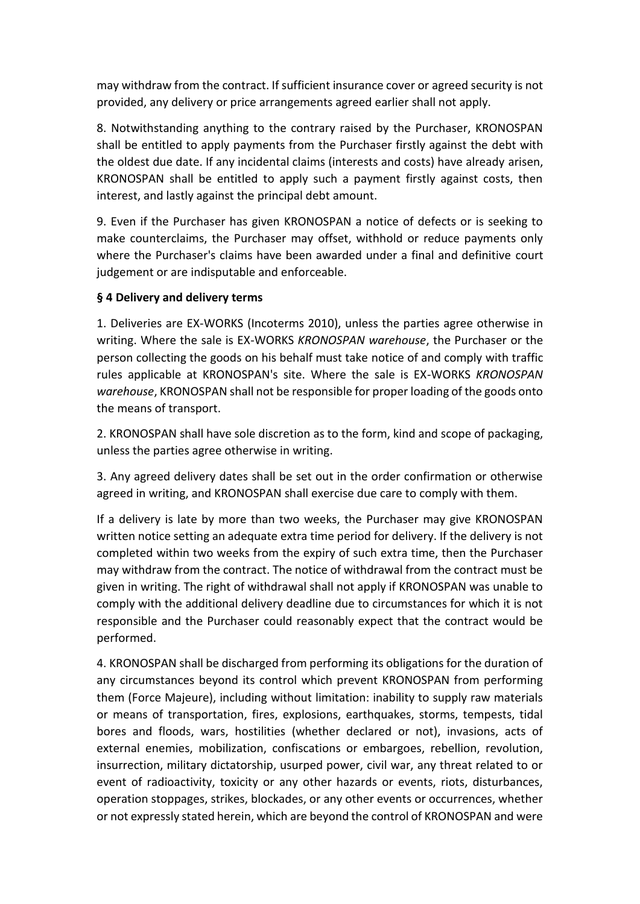may withdraw from the contract. If sufficient insurance cover or agreed security is not provided, any delivery or price arrangements agreed earlier shall not apply.

8. Notwithstanding anything to the contrary raised by the Purchaser, KRONOSPAN shall be entitled to apply payments from the Purchaser firstly against the debt with the oldest due date. If any incidental claims (interests and costs) have already arisen, KRONOSPAN shall be entitled to apply such a payment firstly against costs, then interest, and lastly against the principal debt amount.

9. Even if the Purchaser has given KRONOSPAN a notice of defects or is seeking to make counterclaims, the Purchaser may offset, withhold or reduce payments only where the Purchaser's claims have been awarded under a final and definitive court judgement or are indisputable and enforceable.

### **§ 4 Delivery and delivery terms**

1. Deliveries are EX-WORKS (Incoterms 2010), unless the parties agree otherwise in writing. Where the sale is EX-WORKS *KRONOSPAN warehouse*, the Purchaser or the person collecting the goods on his behalf must take notice of and comply with traffic rules applicable at KRONOSPAN's site. Where the sale is EX-WORKS *KRONOSPAN warehouse*, KRONOSPAN shall not be responsible for proper loading of the goods onto the means of transport.

2. KRONOSPAN shall have sole discretion as to the form, kind and scope of packaging, unless the parties agree otherwise in writing.

3. Any agreed delivery dates shall be set out in the order confirmation or otherwise agreed in writing, and KRONOSPAN shall exercise due care to comply with them.

If a delivery is late by more than two weeks, the Purchaser may give KRONOSPAN written notice setting an adequate extra time period for delivery. If the delivery is not completed within two weeks from the expiry of such extra time, then the Purchaser may withdraw from the contract. The notice of withdrawal from the contract must be given in writing. The right of withdrawal shall not apply if KRONOSPAN was unable to comply with the additional delivery deadline due to circumstances for which it is not responsible and the Purchaser could reasonably expect that the contract would be performed.

4. KRONOSPAN shall be discharged from performing its obligations for the duration of any circumstances beyond its control which prevent KRONOSPAN from performing them (Force Majeure), including without limitation: inability to supply raw materials or means of transportation, fires, explosions, earthquakes, storms, tempests, tidal bores and floods, wars, hostilities (whether declared or not), invasions, acts of external enemies, mobilization, confiscations or embargoes, rebellion, revolution, insurrection, military dictatorship, usurped power, civil war, any threat related to or event of radioactivity, toxicity or any other hazards or events, riots, disturbances, operation stoppages, strikes, blockades, or any other events or occurrences, whether or not expressly stated herein, which are beyond the control of KRONOSPAN and were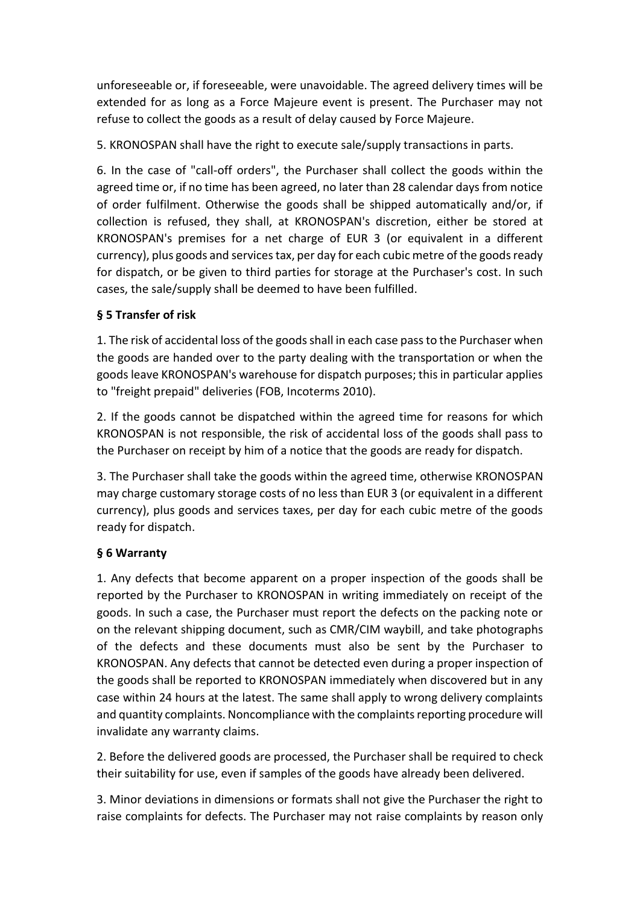unforeseeable or, if foreseeable, were unavoidable. The agreed delivery times will be extended for as long as a Force Majeure event is present. The Purchaser may not refuse to collect the goods as a result of delay caused by Force Majeure.

5. KRONOSPAN shall have the right to execute sale/supply transactions in parts.

6. In the case of "call-off orders", the Purchaser shall collect the goods within the agreed time or, if no time has been agreed, no later than 28 calendar days from notice of order fulfilment. Otherwise the goods shall be shipped automatically and/or, if collection is refused, they shall, at KRONOSPAN's discretion, either be stored at KRONOSPAN's premises for a net charge of EUR 3 (or equivalent in a different currency), plus goods and services tax, per day for each cubic metre of the goods ready for dispatch, or be given to third parties for storage at the Purchaser's cost. In such cases, the sale/supply shall be deemed to have been fulfilled.

### **§ 5 Transfer of risk**

1. The risk of accidental loss of the goods shall in each case pass to the Purchaser when the goods are handed over to the party dealing with the transportation or when the goods leave KRONOSPAN's warehouse for dispatch purposes; this in particular applies to "freight prepaid" deliveries (FOB, Incoterms 2010).

2. If the goods cannot be dispatched within the agreed time for reasons for which KRONOSPAN is not responsible, the risk of accidental loss of the goods shall pass to the Purchaser on receipt by him of a notice that the goods are ready for dispatch.

3. The Purchaser shall take the goods within the agreed time, otherwise KRONOSPAN may charge customary storage costs of no less than EUR 3 (or equivalent in a different currency), plus goods and services taxes, per day for each cubic metre of the goods ready for dispatch.

# **§ 6 Warranty**

1. Any defects that become apparent on a proper inspection of the goods shall be reported by the Purchaser to KRONOSPAN in writing immediately on receipt of the goods. In such a case, the Purchaser must report the defects on the packing note or on the relevant shipping document, such as CMR/CIM waybill, and take photographs of the defects and these documents must also be sent by the Purchaser to KRONOSPAN. Any defects that cannot be detected even during a proper inspection of the goods shall be reported to KRONOSPAN immediately when discovered but in any case within 24 hours at the latest. The same shall apply to wrong delivery complaints and quantity complaints. Noncompliance with the complaints reporting procedure will invalidate any warranty claims.

2. Before the delivered goods are processed, the Purchaser shall be required to check their suitability for use, even if samples of the goods have already been delivered.

3. Minor deviations in dimensions or formats shall not give the Purchaser the right to raise complaints for defects. The Purchaser may not raise complaints by reason only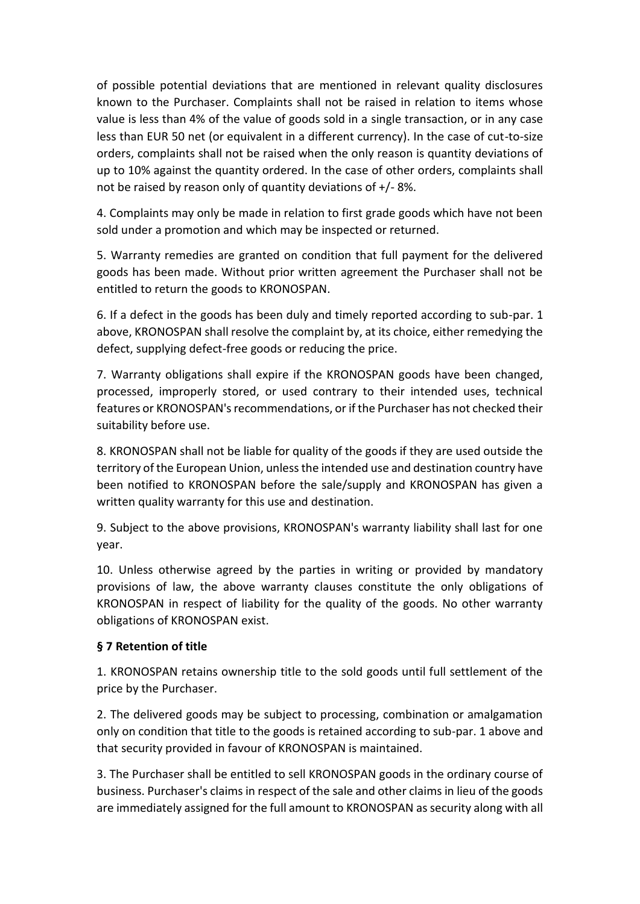of possible potential deviations that are mentioned in relevant quality disclosures known to the Purchaser. Complaints shall not be raised in relation to items whose value is less than 4% of the value of goods sold in a single transaction, or in any case less than EUR 50 net (or equivalent in a different currency). In the case of cut-to-size orders, complaints shall not be raised when the only reason is quantity deviations of up to 10% against the quantity ordered. In the case of other orders, complaints shall not be raised by reason only of quantity deviations of +/- 8%.

4. Complaints may only be made in relation to first grade goods which have not been sold under a promotion and which may be inspected or returned.

5. Warranty remedies are granted on condition that full payment for the delivered goods has been made. Without prior written agreement the Purchaser shall not be entitled to return the goods to KRONOSPAN.

6. If a defect in the goods has been duly and timely reported according to sub-par. 1 above, KRONOSPAN shall resolve the complaint by, at its choice, either remedying the defect, supplying defect-free goods or reducing the price.

7. Warranty obligations shall expire if the KRONOSPAN goods have been changed, processed, improperly stored, or used contrary to their intended uses, technical features or KRONOSPAN's recommendations, or if the Purchaser has not checked their suitability before use.

8. KRONOSPAN shall not be liable for quality of the goods if they are used outside the territory of the European Union, unless the intended use and destination country have been notified to KRONOSPAN before the sale/supply and KRONOSPAN has given a written quality warranty for this use and destination.

9. Subject to the above provisions, KRONOSPAN's warranty liability shall last for one year.

10. Unless otherwise agreed by the parties in writing or provided by mandatory provisions of law, the above warranty clauses constitute the only obligations of KRONOSPAN in respect of liability for the quality of the goods. No other warranty obligations of KRONOSPAN exist.

# **§ 7 Retention of title**

1. KRONOSPAN retains ownership title to the sold goods until full settlement of the price by the Purchaser.

2. The delivered goods may be subject to processing, combination or amalgamation only on condition that title to the goods is retained according to sub-par. 1 above and that security provided in favour of KRONOSPAN is maintained.

3. The Purchaser shall be entitled to sell KRONOSPAN goods in the ordinary course of business. Purchaser's claims in respect of the sale and other claims in lieu of the goods are immediately assigned for the full amount to KRONOSPAN as security along with all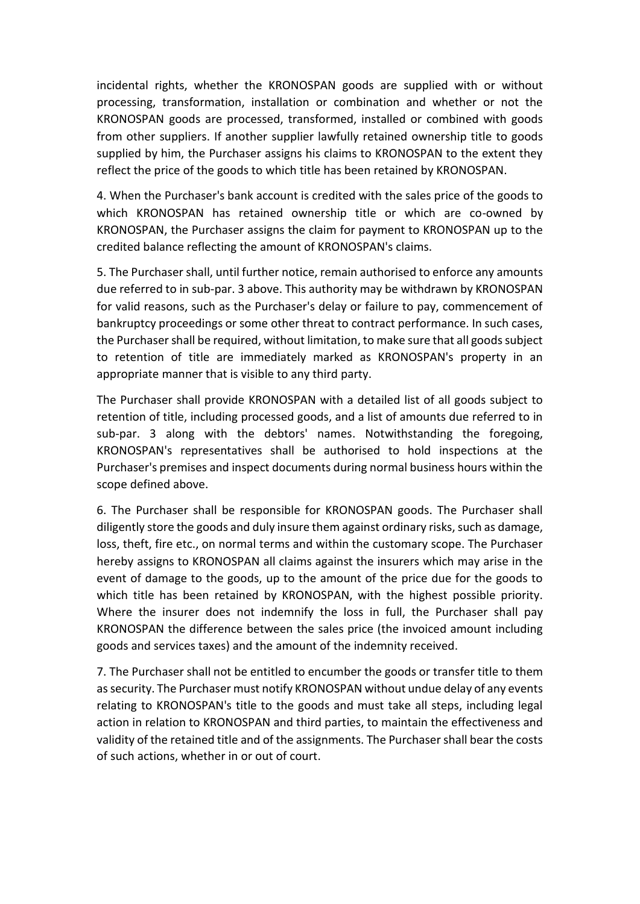incidental rights, whether the KRONOSPAN goods are supplied with or without processing, transformation, installation or combination and whether or not the KRONOSPAN goods are processed, transformed, installed or combined with goods from other suppliers. If another supplier lawfully retained ownership title to goods supplied by him, the Purchaser assigns his claims to KRONOSPAN to the extent they reflect the price of the goods to which title has been retained by KRONOSPAN.

4. When the Purchaser's bank account is credited with the sales price of the goods to which KRONOSPAN has retained ownership title or which are co-owned by KRONOSPAN, the Purchaser assigns the claim for payment to KRONOSPAN up to the credited balance reflecting the amount of KRONOSPAN's claims.

5. The Purchaser shall, until further notice, remain authorised to enforce any amounts due referred to in sub-par. 3 above. This authority may be withdrawn by KRONOSPAN for valid reasons, such as the Purchaser's delay or failure to pay, commencement of bankruptcy proceedings or some other threat to contract performance. In such cases, the Purchaser shall be required, without limitation, to make sure that all goods subject to retention of title are immediately marked as KRONOSPAN's property in an appropriate manner that is visible to any third party.

The Purchaser shall provide KRONOSPAN with a detailed list of all goods subject to retention of title, including processed goods, and a list of amounts due referred to in sub-par. 3 along with the debtors' names. Notwithstanding the foregoing, KRONOSPAN's representatives shall be authorised to hold inspections at the Purchaser's premises and inspect documents during normal business hours within the scope defined above.

6. The Purchaser shall be responsible for KRONOSPAN goods. The Purchaser shall diligently store the goods and duly insure them against ordinary risks, such as damage, loss, theft, fire etc., on normal terms and within the customary scope. The Purchaser hereby assigns to KRONOSPAN all claims against the insurers which may arise in the event of damage to the goods, up to the amount of the price due for the goods to which title has been retained by KRONOSPAN, with the highest possible priority. Where the insurer does not indemnify the loss in full, the Purchaser shall pay KRONOSPAN the difference between the sales price (the invoiced amount including goods and services taxes) and the amount of the indemnity received.

7. The Purchaser shall not be entitled to encumber the goods or transfer title to them as security. The Purchaser must notify KRONOSPAN without undue delay of any events relating to KRONOSPAN's title to the goods and must take all steps, including legal action in relation to KRONOSPAN and third parties, to maintain the effectiveness and validity of the retained title and of the assignments. The Purchaser shall bear the costs of such actions, whether in or out of court.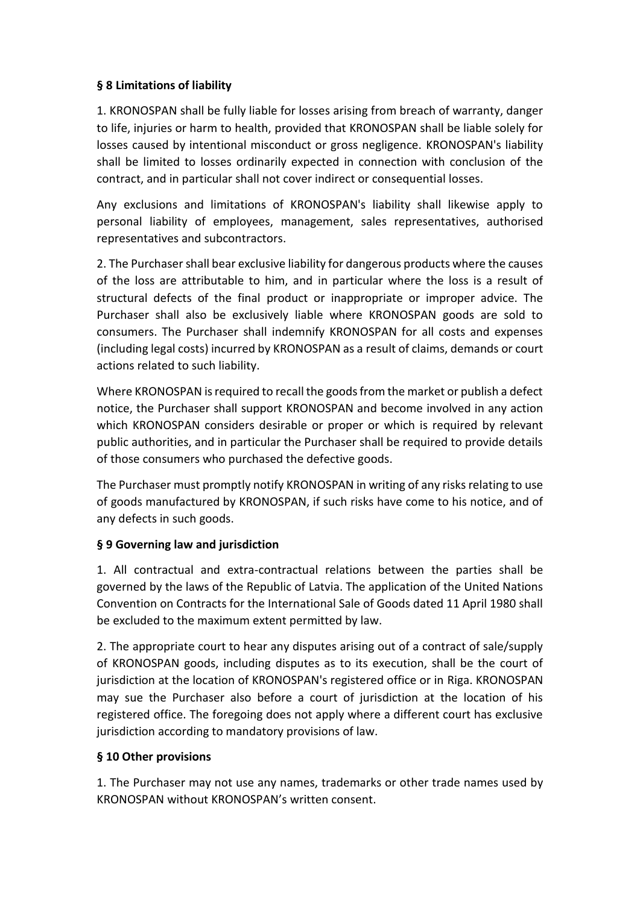### **§ 8 Limitations of liability**

1. KRONOSPAN shall be fully liable for losses arising from breach of warranty, danger to life, injuries or harm to health, provided that KRONOSPAN shall be liable solely for losses caused by intentional misconduct or gross negligence. KRONOSPAN's liability shall be limited to losses ordinarily expected in connection with conclusion of the contract, and in particular shall not cover indirect or consequential losses.

Any exclusions and limitations of KRONOSPAN's liability shall likewise apply to personal liability of employees, management, sales representatives, authorised representatives and subcontractors.

2. The Purchaser shall bear exclusive liability for dangerous products where the causes of the loss are attributable to him, and in particular where the loss is a result of structural defects of the final product or inappropriate or improper advice. The Purchaser shall also be exclusively liable where KRONOSPAN goods are sold to consumers. The Purchaser shall indemnify KRONOSPAN for all costs and expenses (including legal costs) incurred by KRONOSPAN as a result of claims, demands or court actions related to such liability.

Where KRONOSPAN is required to recall the goods from the market or publish a defect notice, the Purchaser shall support KRONOSPAN and become involved in any action which KRONOSPAN considers desirable or proper or which is required by relevant public authorities, and in particular the Purchaser shall be required to provide details of those consumers who purchased the defective goods.

The Purchaser must promptly notify KRONOSPAN in writing of any risks relating to use of goods manufactured by KRONOSPAN, if such risks have come to his notice, and of any defects in such goods.

# **§ 9 Governing law and jurisdiction**

1. All contractual and extra-contractual relations between the parties shall be governed by the laws of the Republic of Latvia. The application of the United Nations Convention on Contracts for the International Sale of Goods dated 11 April 1980 shall be excluded to the maximum extent permitted by law.

2. The appropriate court to hear any disputes arising out of a contract of sale/supply of KRONOSPAN goods, including disputes as to its execution, shall be the court of jurisdiction at the location of KRONOSPAN's registered office or in Riga. KRONOSPAN may sue the Purchaser also before a court of jurisdiction at the location of his registered office. The foregoing does not apply where a different court has exclusive jurisdiction according to mandatory provisions of law.

### **§ 10 Other provisions**

1. The Purchaser may not use any names, trademarks or other trade names used by KRONOSPAN without KRONOSPAN's written consent.